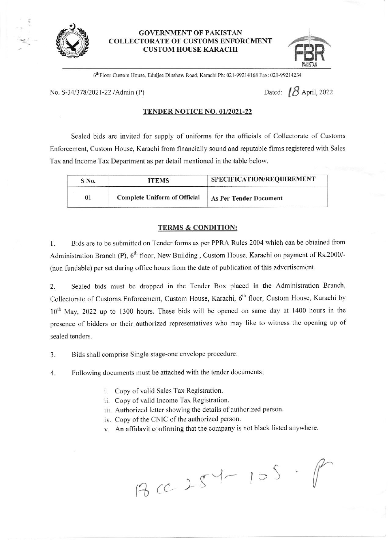

## GOVERNMENT OF PAKISTAN COLLECTORATE OF CUSTONIS ENFORCIIIENT ORATE OF CUSTOMS ENFORCMENT<br>CUSTOM HOUSE KARACHI **REB**



6<sup>th</sup> Floor Custom House, Eduljee Dinshaw Road, Karachi Ph: 021-99214168 Fax: 021-99214234

No. S-34/378/2021-22 /Admin (P) Dated:  $\beta$  April, 2022

## TENDER NOTICE NO. 01/2021-22

Sealed bids are invited for supply of uniforms for the officials of Collectorate of Customs Enforcement, Custom House, Karachi from financially sound and reputable firms registered with Sales Tax and Income Tax Department as per detail mentioned in the table below.

| S No. | <b>ITEMS</b>                        | SPECIFICATION/REQUIREMENT     |
|-------|-------------------------------------|-------------------------------|
| 01    | <b>Complete Uniform of Official</b> | <b>As Per Tender Document</b> |

## TERMS & CONDITION:

1. Bids are to be submitted on Tender forms as per PPRA Rules 2004 which can be obtained from Administration Branch (P),  $6^{th}$  floor, New Building, Custom House, Karachi on payment of Rs:2000/-(non fundable) per set during office hours from the date of publication of this advertisement.

2. Sealed bids must be dropped in the Tender Box placed in the Administration Branch, Collectorate of Customs. Enforcement, Custom House, Karachi, 6<sup>th</sup> floor, Custom House, Karachi by 10<sup>th</sup> May, 2022 up to 1300 hours. These bids will be opened on same day at 1400 hours in the presence of bidders or their authorized representatives who may like to witness the opening up of sealed tenders.

3. Bids shall comprise Single stage-one envelope procedure.

4. Following documents must be attached with the tender documents;

- i. Copy of valid Sales Tax Registration.
- ii. Copy of valid Income Tax Registration.
- iii. Authorized letter showing the details of authorized person.
- iv. Copy of the CNIC of the authorized person.
- v. An affidavit confirming that the company is not black listed anywhere.

 $3c c$  25  $-10$ **Provided**